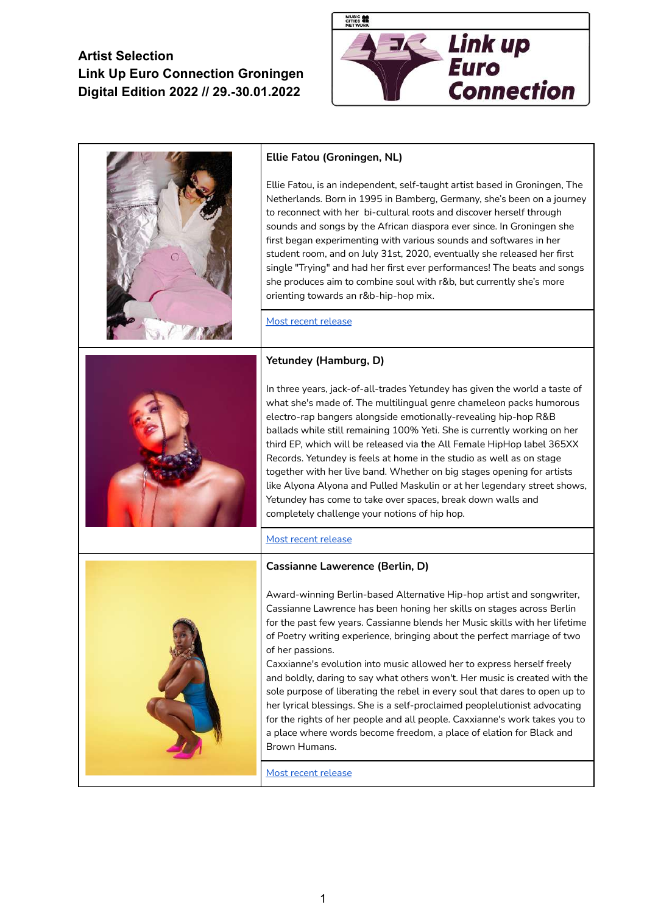

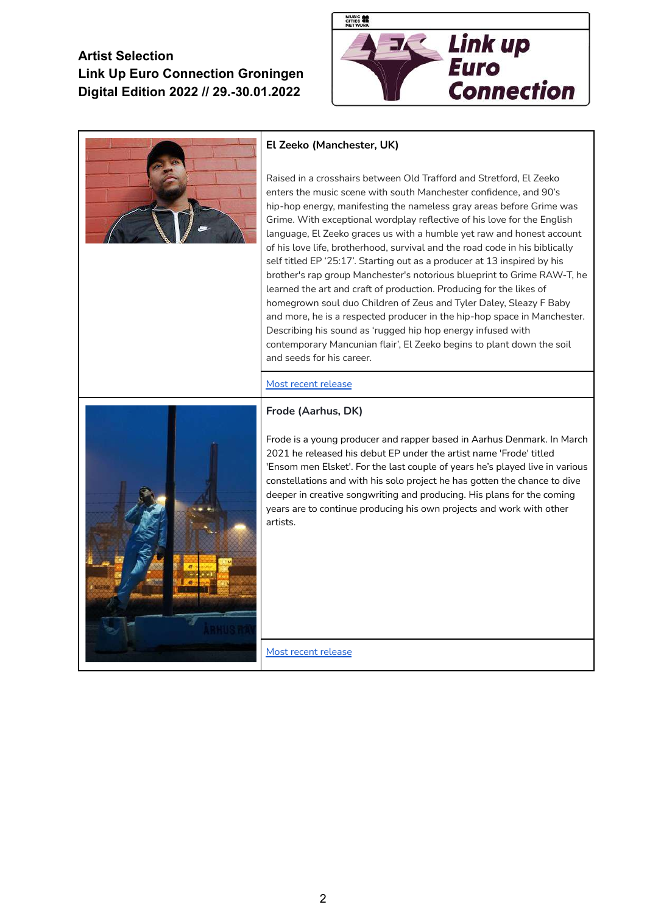

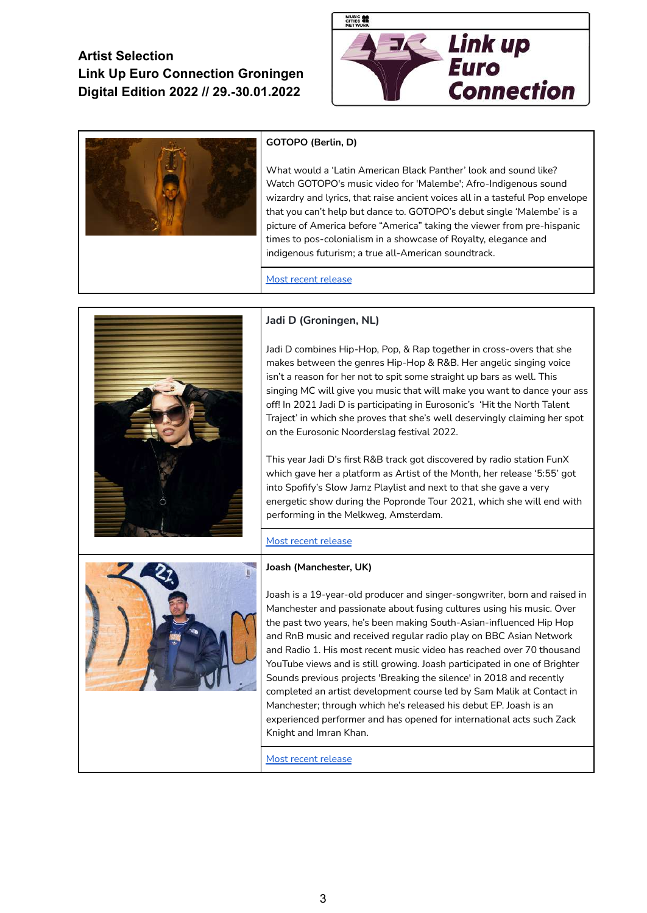



### **GOTOPO (Berlin, D)**

What would a 'Latin American Black Panther' look and sound like? Watch GOTOPO's music video for 'Malembe'; Afro-Indigenous sound wizardry and lyrics, that raise ancient voices all in a tasteful Pop envelope that you can't help but dance to. GOTOPO's debut single 'Malembe' is a picture of America before "America" taking the viewer from pre-hispanic times to pos-colonialism in a showcase of Royalty, elegance and indigenous futurism; a true all-American soundtrack.

Most recent [release](https://open.spotify.com/track/2UIWVoKl6QndrHfxER0tYR?si=a9f8811d20684a8c)



#### **Jadi D (Groningen, NL)**

Jadi D combines Hip-Hop, Pop, & Rap together in cross-overs that she makes between the genres Hip-Hop & R&B. Her angelic singing voice isn't a reason for her not to spit some straight up bars as well. This singing MC will give you music that will make you want to dance your ass off! In 2021 Jadi D is participating in Eurosonic's 'Hit the North Talent Traject' in which she proves that she's well deservingly claiming her spot on the Eurosonic Noorderslag festival 2022.

This year Jadi D's first R&B track got discovered by radio station FunX which gave her a platform as Artist of the Month, her release '5:55' got into Spofify's Slow Jamz Playlist and next to that she gave a very energetic show during the Popronde Tour 2021, which she will end with performing in the Melkweg, Amsterdam.

#### Most recent [release](https://open.spotify.com/track/1FqLsCN0JcNqoPPoucnzqU?si=d05260d4c0ef4049)

#### **Joash (Manchester, UK)**



Joash is a 19-year-old producer and singer-songwriter, born and raised in Manchester and passionate about fusing cultures using his music. Over the past two years, he's been making South-Asian-influenced Hip Hop and RnB music and received regular radio play on BBC Asian Network and Radio 1. His most recent music video has reached over 70 thousand YouTube views and is still growing. Joash participated in one of Brighter Sounds previous projects 'Breaking the silence' in 2018 and recently completed an artist development course led by Sam Malik at Contact in Manchester; through which he's released his debut EP. Joash is an experienced performer and has opened for international acts such Zack Knight and Imran Khan.

Most recent [release](https://www.youtube.com/watch?v=mh-ZoRbNPk0&ab_channel=OnTheBeats)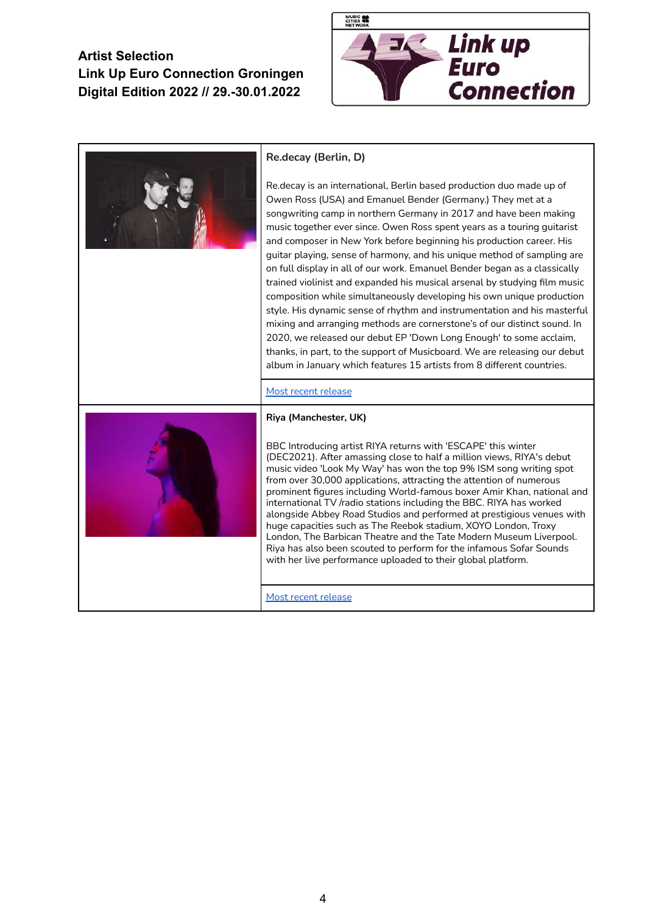